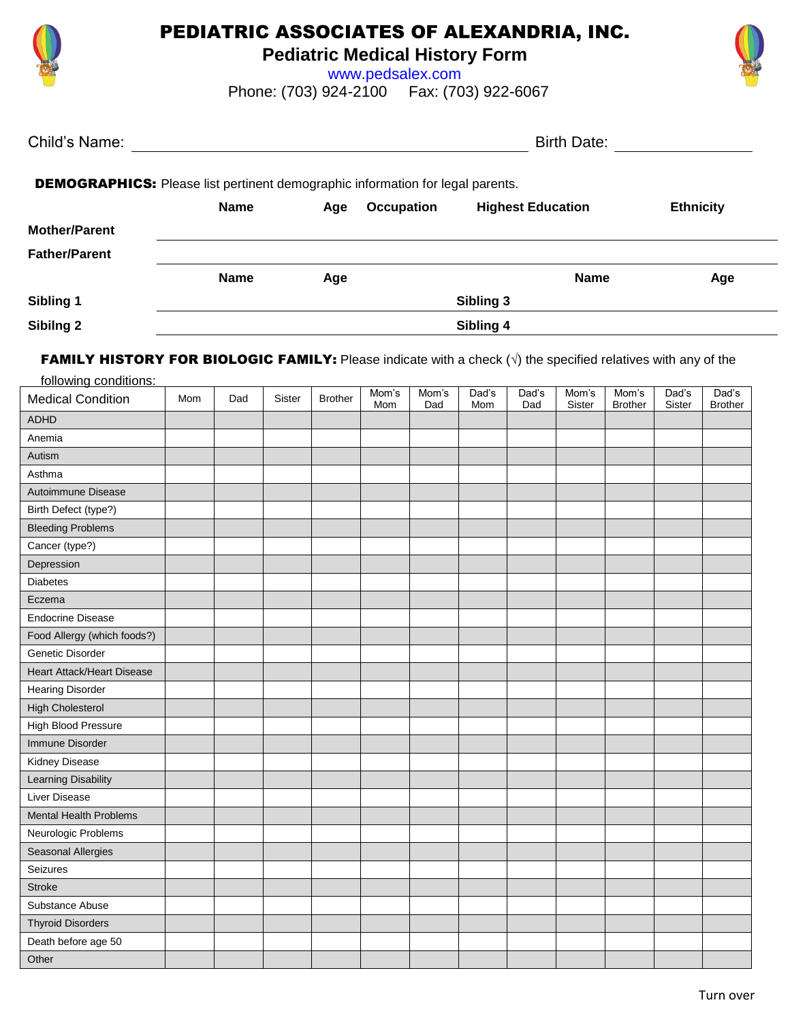

## PEDIATRIC ASSOCIATES OF ALEXANDRIA, INC.

**Pediatric Medical History Form**

www.pedsalex.com Phone: (703) 924-2100 Fax: (703) 922-6067



| Child's Name:                                                                         |             |     | <b>Birth Date:</b> |                          |                  |  |  |  |
|---------------------------------------------------------------------------------------|-------------|-----|--------------------|--------------------------|------------------|--|--|--|
| <b>DEMOGRAPHICS:</b> Please list pertinent demographic information for legal parents. |             |     |                    |                          |                  |  |  |  |
|                                                                                       | <b>Name</b> | Age | <b>Occupation</b>  | <b>Highest Education</b> | <b>Ethnicity</b> |  |  |  |
| <b>Mother/Parent</b>                                                                  |             |     |                    |                          |                  |  |  |  |
| <b>Father/Parent</b>                                                                  |             |     |                    |                          |                  |  |  |  |
|                                                                                       | <b>Name</b> | Age |                    | <b>Name</b>              | Age              |  |  |  |
| Sibling 1                                                                             |             |     |                    | Sibling 3                |                  |  |  |  |
| Sibilng 2                                                                             |             |     |                    | Sibling 4                |                  |  |  |  |

FAMILY HISTORY FOR BIOLOGIC FAMILY: Please indicate with a check  $(\sqrt{)}$  the specified relatives with any of the

| following conditions:         |     |     |        |                |              |              |              |              |                 |                         |                 |                         |
|-------------------------------|-----|-----|--------|----------------|--------------|--------------|--------------|--------------|-----------------|-------------------------|-----------------|-------------------------|
| <b>Medical Condition</b>      | Mom | Dad | Sister | <b>Brother</b> | Mom's<br>Mom | Mom's<br>Dad | Dad's<br>Mom | Dad's<br>Dad | Mom's<br>Sister | Mom's<br><b>Brother</b> | Dad's<br>Sister | Dad's<br><b>Brother</b> |
| <b>ADHD</b>                   |     |     |        |                |              |              |              |              |                 |                         |                 |                         |
| Anemia                        |     |     |        |                |              |              |              |              |                 |                         |                 |                         |
| Autism                        |     |     |        |                |              |              |              |              |                 |                         |                 |                         |
| Asthma                        |     |     |        |                |              |              |              |              |                 |                         |                 |                         |
| Autoimmune Disease            |     |     |        |                |              |              |              |              |                 |                         |                 |                         |
| Birth Defect (type?)          |     |     |        |                |              |              |              |              |                 |                         |                 |                         |
| <b>Bleeding Problems</b>      |     |     |        |                |              |              |              |              |                 |                         |                 |                         |
| Cancer (type?)                |     |     |        |                |              |              |              |              |                 |                         |                 |                         |
| Depression                    |     |     |        |                |              |              |              |              |                 |                         |                 |                         |
| <b>Diabetes</b>               |     |     |        |                |              |              |              |              |                 |                         |                 |                         |
| Eczema                        |     |     |        |                |              |              |              |              |                 |                         |                 |                         |
| <b>Endocrine Disease</b>      |     |     |        |                |              |              |              |              |                 |                         |                 |                         |
| Food Allergy (which foods?)   |     |     |        |                |              |              |              |              |                 |                         |                 |                         |
| Genetic Disorder              |     |     |        |                |              |              |              |              |                 |                         |                 |                         |
| Heart Attack/Heart Disease    |     |     |        |                |              |              |              |              |                 |                         |                 |                         |
| <b>Hearing Disorder</b>       |     |     |        |                |              |              |              |              |                 |                         |                 |                         |
| <b>High Cholesterol</b>       |     |     |        |                |              |              |              |              |                 |                         |                 |                         |
| High Blood Pressure           |     |     |        |                |              |              |              |              |                 |                         |                 |                         |
| Immune Disorder               |     |     |        |                |              |              |              |              |                 |                         |                 |                         |
| Kidney Disease                |     |     |        |                |              |              |              |              |                 |                         |                 |                         |
| Learning Disability           |     |     |        |                |              |              |              |              |                 |                         |                 |                         |
| Liver Disease                 |     |     |        |                |              |              |              |              |                 |                         |                 |                         |
| <b>Mental Health Problems</b> |     |     |        |                |              |              |              |              |                 |                         |                 |                         |
| Neurologic Problems           |     |     |        |                |              |              |              |              |                 |                         |                 |                         |
| Seasonal Allergies            |     |     |        |                |              |              |              |              |                 |                         |                 |                         |
| Seizures                      |     |     |        |                |              |              |              |              |                 |                         |                 |                         |
| <b>Stroke</b>                 |     |     |        |                |              |              |              |              |                 |                         |                 |                         |
| Substance Abuse               |     |     |        |                |              |              |              |              |                 |                         |                 |                         |
| <b>Thyroid Disorders</b>      |     |     |        |                |              |              |              |              |                 |                         |                 |                         |
| Death before age 50           |     |     |        |                |              |              |              |              |                 |                         |                 |                         |
| Other                         |     |     |        |                |              |              |              |              |                 |                         |                 |                         |